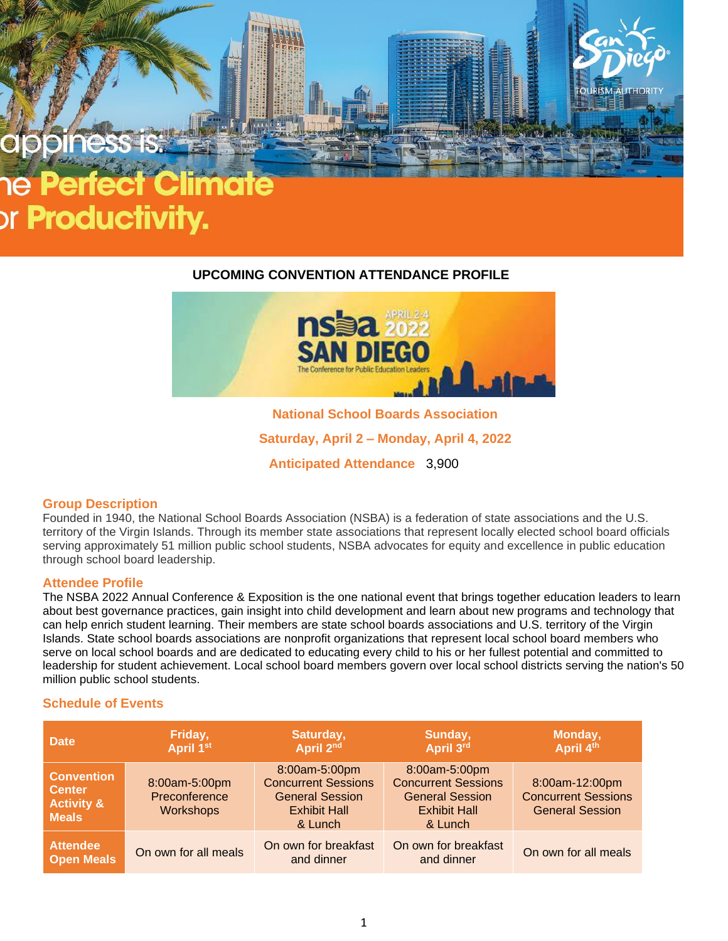# or **Productivity.**

# **UPCOMING CONVENTION ATTENDANCE PROFILE**



**National School Boards Association**

**Saturday, April 2 – Monday, April 4, 2022**

**Anticipated Attendance** 3,900

# **Group Description**

Founded in 1940, the National School Boards Association (NSBA) is a federation of state associations and the U.S. territory of the Virgin Islands. Through its member state associations that represent locally elected school board officials serving approximately 51 million public school students, NSBA advocates for equity and excellence in public education through school board leadership.

# **Attendee Profile**

The NSBA 2022 Annual Conference & Exposition is the one national event that brings together education leaders to learn about best governance practices, gain insight into child development and learn about new programs and technology that can help enrich student learning. Their members are state school boards associations and U.S. territory of the Virgin Islands. State school boards associations are nonprofit organizations that represent local school board members who serve on local school boards and are dedicated to educating every child to his or her fullest potential and committed to leadership for student achievement. Local school board members govern over local school districts serving the nation's 50 million public school students.

# **Schedule of Events**

| <b>Date</b>                                                                 | Friday,<br>April 1st                        | Saturday,<br>April 2nd                                                                                  | Sunday,<br>April 3rd                                                                                    | Monday,<br>April 4th                                                   |
|-----------------------------------------------------------------------------|---------------------------------------------|---------------------------------------------------------------------------------------------------------|---------------------------------------------------------------------------------------------------------|------------------------------------------------------------------------|
| <b>Convention</b><br><b>Center</b><br><b>Activity &amp;</b><br><b>Meals</b> | 8:00am-5:00pm<br>Preconference<br>Workshops | 8:00am-5:00pm<br><b>Concurrent Sessions</b><br><b>General Session</b><br><b>Exhibit Hall</b><br>& Lunch | 8:00am-5:00pm<br><b>Concurrent Sessions</b><br><b>General Session</b><br><b>Exhibit Hall</b><br>& Lunch | 8:00am-12:00pm<br><b>Concurrent Sessions</b><br><b>General Session</b> |
| <b>Attendee</b><br><b>Open Meals</b>                                        | On own for all meals                        | On own for breakfast<br>and dinner                                                                      | On own for breakfast<br>and dinner                                                                      | On own for all meals                                                   |